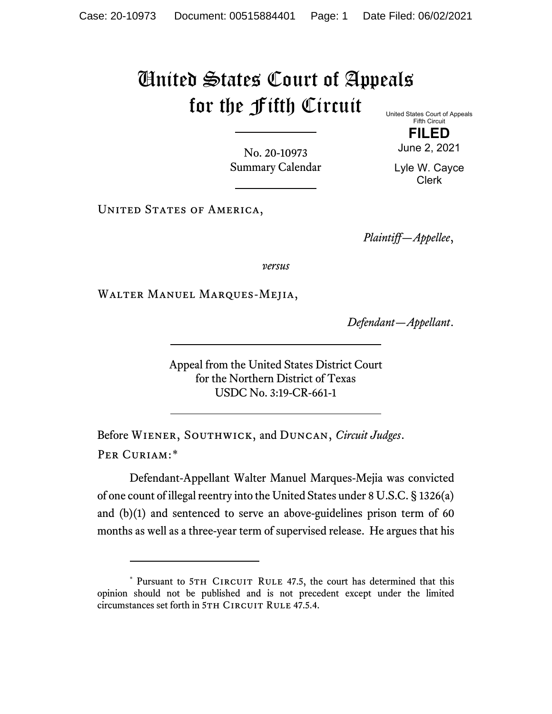## United States Court of Appeals for the Fifth Circuit United States Court of Appeals

No. 20-10973 Summary Calendar

June 2, 2021 Lyle W. Cayce Clerk

UNITED STATES OF AMERICA,

*Plaintiff—Appellee*,

Fifth Circuit **FILED**

*versus*

Walter Manuel Marques-Mejia,

*Defendant—Appellant*.

Appeal from the United States District Court for the Northern District of Texas USDC No. 3:19-CR-661-1

Before Wiener, Southwick, and Duncan, *Circuit Judges*. Per Curiam:[\\*](#page-0-0)

Defendant-Appellant Walter Manuel Marques-Mejia was convicted of one count of illegal reentry into the United States under 8 U.S.C. § 1326(a) and (b)(1) and sentenced to serve an above-guidelines prison term of 60 months as well as a three-year term of supervised release. He argues that his

<span id="page-0-0"></span><sup>\*</sup> Pursuant to 5TH CIRCUIT RULE 47.5, the court has determined that this opinion should not be published and is not precedent except under the limited circumstances set forth in 5TH CIRCUIT RULE 47.5.4.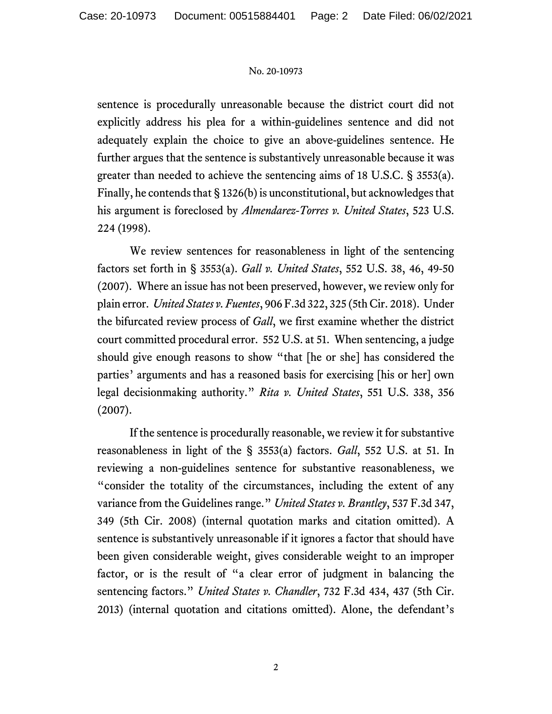## No. 20-10973

sentence is procedurally unreasonable because the district court did not explicitly address his plea for a within-guidelines sentence and did not adequately explain the choice to give an above-guidelines sentence. He further argues that the sentence is substantively unreasonable because it was greater than needed to achieve the sentencing aims of 18 U.S.C. § 3553(a). Finally, he contends that  $\S$  1326(b) is unconstitutional, but acknowledges that his argument is foreclosed by *Almendarez-Torres v. United States*, 523 U.S. 224 (1998).

We review sentences for reasonableness in light of the sentencing factors set forth in § 3553(a). *Gall v. United States*, 552 U.S. 38, 46, 49-50 (2007). Where an issue has not been preserved, however, we review only for plain error. *United States v. Fuentes*, 906 F.3d 322, 325 (5th Cir. 2018). Under the bifurcated review process of *Gall*, we first examine whether the district court committed procedural error. 552 U.S. at 51. When sentencing, a judge should give enough reasons to show "that [he or she] has considered the parties' arguments and has a reasoned basis for exercising [his or her] own legal decisionmaking authority." *Rita v. United States*, 551 U.S. 338, 356 (2007).

If the sentence is procedurally reasonable, we review it for substantive reasonableness in light of the § 3553(a) factors. *Gall*, 552 U.S. at 51. In reviewing a non-guidelines sentence for substantive reasonableness, we "consider the totality of the circumstances, including the extent of any variance from the Guidelines range." *United States v. Brantley*, 537 F.3d 347, 349 (5th Cir. 2008) (internal quotation marks and citation omitted). A sentence is substantively unreasonable if it ignores a factor that should have been given considerable weight, gives considerable weight to an improper factor, or is the result of "a clear error of judgment in balancing the sentencing factors." *United States v. Chandler*, 732 F.3d 434, 437 (5th Cir. 2013) (internal quotation and citations omitted). Alone, the defendant's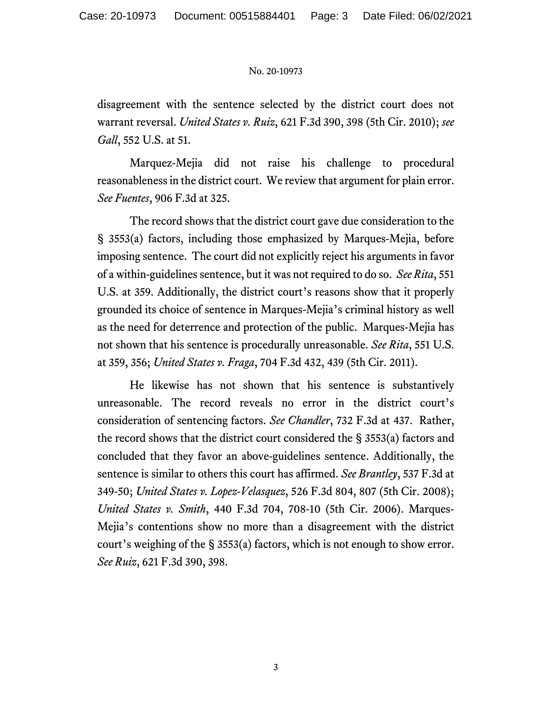## No. 20-10973

disagreement with the sentence selected by the district court does not warrant reversal. *United States v. Ruiz*, 621 F.3d 390, 398 (5th Cir. 2010); *see Gall*, 552 U.S. at 51.

Marquez-Mejia did not raise his challenge to procedural reasonableness in the district court. We review that argument for plain error. *See Fuentes*, 906 F.3d at 325.

The record shows that the district court gave due consideration to the § 3553(a) factors, including those emphasized by Marques-Mejia, before imposing sentence. The court did not explicitly reject his arguments in favor of a within-guidelines sentence, but it was not required to do so. *See Rita*, 551 U.S. at 359. Additionally, the district court's reasons show that it properly grounded its choice of sentence in Marques-Mejia's criminal history as well as the need for deterrence and protection of the public. Marques-Mejia has not shown that his sentence is procedurally unreasonable. *See Rita*, 551 U.S. at 359, 356; *United States v. Fraga*, 704 F.3d 432, 439 (5th Cir. 2011).

He likewise has not shown that his sentence is substantively unreasonable. The record reveals no error in the district court's consideration of sentencing factors. *See Chandler*, 732 F.3d at 437. Rather, the record shows that the district court considered the § 3553(a) factors and concluded that they favor an above-guidelines sentence. Additionally, the sentence is similar to others this court has affirmed. *See Brantley*, 537 F.3d at 349-50; *United States v. Lopez-Velasquez*, 526 F.3d 804, 807 (5th Cir. 2008); *United States v. Smith*, 440 F.3d 704, 708-10 (5th Cir. 2006). Marques-Mejia's contentions show no more than a disagreement with the district court's weighing of the § 3553(a) factors, which is not enough to show error. *See Ruiz*, 621 F.3d 390, 398.